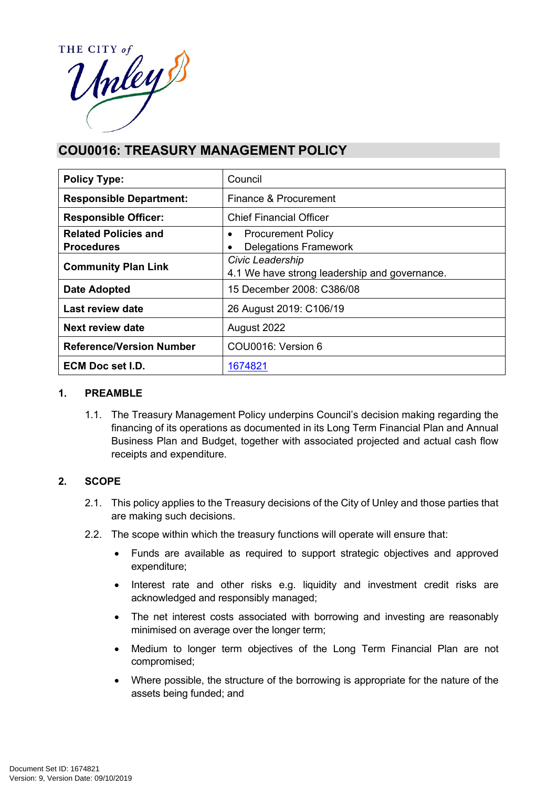

# **COU0016: TREASURY MANAGEMENT POLICY**

| <b>Policy Type:</b>                              | Council                                                           |  |
|--------------------------------------------------|-------------------------------------------------------------------|--|
| <b>Responsible Department:</b>                   | Finance & Procurement                                             |  |
| <b>Responsible Officer:</b>                      | <b>Chief Financial Officer</b>                                    |  |
| <b>Related Policies and</b><br><b>Procedures</b> | <b>Procurement Policy</b><br>٠<br><b>Delegations Framework</b>    |  |
| <b>Community Plan Link</b>                       | Civic Leadership<br>4.1 We have strong leadership and governance. |  |
| <b>Date Adopted</b>                              | 15 December 2008: C386/08                                         |  |
| Last review date                                 | 26 August 2019: C106/19                                           |  |
| Next review date                                 | August 2022                                                       |  |
| <b>Reference/Version Number</b>                  | COU0016: Version 6                                                |  |
| ECM Doc set I.D.                                 | 1674821                                                           |  |

#### **1. PREAMBLE**

1.1. The Treasury Management Policy underpins Council's decision making regarding the financing of its operations as documented in its Long Term Financial Plan and Annual Business Plan and Budget, together with associated projected and actual cash flow receipts and expenditure.

# **2. SCOPE**

- 2.1. This policy applies to the Treasury decisions of the City of Unley and those parties that are making such decisions.
- 2.2. The scope within which the treasury functions will operate will ensure that:
	- Funds are available as required to support strategic objectives and approved expenditure;
	- Interest rate and other risks e.g. liquidity and investment credit risks are acknowledged and responsibly managed;
	- The net interest costs associated with borrowing and investing are reasonably minimised on average over the longer term;
	- Medium to longer term objectives of the Long Term Financial Plan are not compromised;
	- Where possible, the structure of the borrowing is appropriate for the nature of the assets being funded; and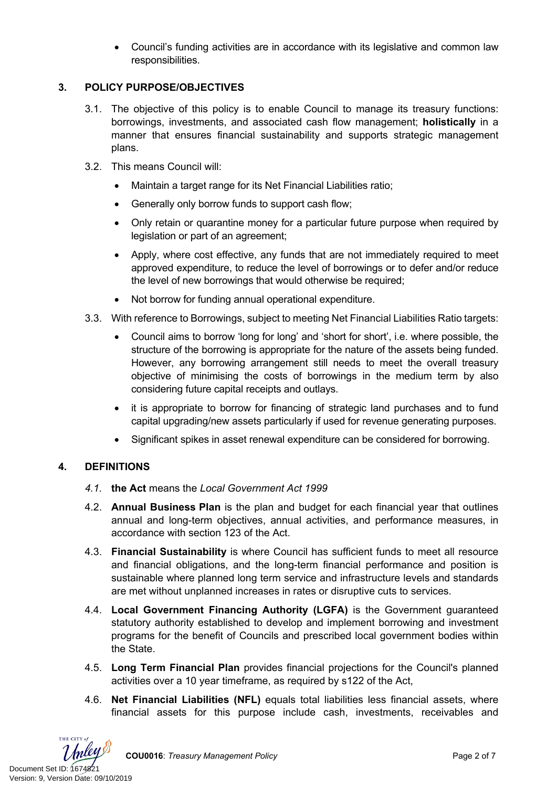Council's funding activities are in accordance with its legislative and common law responsibilities.

# **3. POLICY PURPOSE/OBJECTIVES**

- 3.1. The objective of this policy is to enable Council to manage its treasury functions: borrowings, investments, and associated cash flow management; **holistically** in a manner that ensures financial sustainability and supports strategic management plans.
- 3.2. This means Council will:
	- Maintain a target range for its Net Financial Liabilities ratio;
	- Generally only borrow funds to support cash flow;
	- Only retain or quarantine money for a particular future purpose when required by legislation or part of an agreement;
	- Apply, where cost effective, any funds that are not immediately required to meet approved expenditure, to reduce the level of borrowings or to defer and/or reduce the level of new borrowings that would otherwise be required;
	- Not borrow for funding annual operational expenditure.
- 3.3. With reference to Borrowings, subject to meeting Net Financial Liabilities Ratio targets:
	- Council aims to borrow 'long for long' and 'short for short', i.e. where possible, the structure of the borrowing is appropriate for the nature of the assets being funded. However, any borrowing arrangement still needs to meet the overall treasury objective of minimising the costs of borrowings in the medium term by also considering future capital receipts and outlays.
	- it is appropriate to borrow for financing of strategic land purchases and to fund capital upgrading/new assets particularly if used for revenue generating purposes.
	- Significant spikes in asset renewal expenditure can be considered for borrowing.

# **4. DEFINITIONS**

- *4.1.* **the Act** means the *Local Government Act 1999*
- 4.2. **Annual Business Plan** is the plan and budget for each financial year that outlines annual and long-term objectives, annual activities, and performance measures, in accordance with section 123 of the Act.
- 4.3. **Financial Sustainability** is where Council has sufficient funds to meet all resource and financial obligations, and the long-term financial performance and position is sustainable where planned long term service and infrastructure levels and standards are met without unplanned increases in rates or disruptive cuts to services.
- 4.4. **Local Government Financing Authority (LGFA)** is the Government guaranteed statutory authority established to develop and implement borrowing and investment programs for the benefit of Councils and prescribed local government bodies within the State.
- 4.5. **Long Term Financial Plan** provides financial projections for the Council's planned activities over a 10 year timeframe, as required by s122 of the Act,
- 4.6. **Net Financial Liabilities (NFL)** equals total liabilities less financial assets, where financial assets for this purpose include cash, investments, receivables and

THE CITY of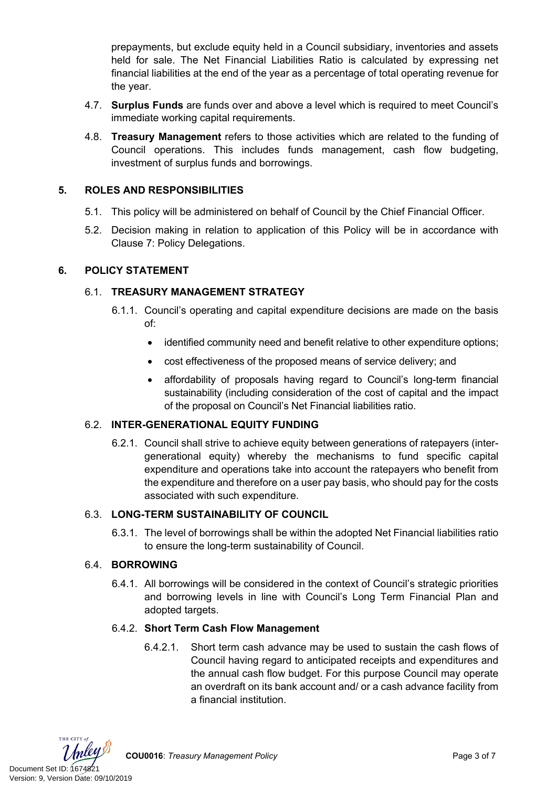prepayments, but exclude equity held in a Council subsidiary, inventories and assets held for sale. The Net Financial Liabilities Ratio is calculated by expressing net financial liabilities at the end of the year as a percentage of total operating revenue for the year.

- 4.7. **Surplus Funds** are funds over and above a level which is required to meet Council's immediate working capital requirements.
- 4.8. **Treasury Management** refers to those activities which are related to the funding of Council operations. This includes funds management, cash flow budgeting, investment of surplus funds and borrowings.

# **5. ROLES AND RESPONSIBILITIES**

- 5.1. This policy will be administered on behalf of Council by the Chief Financial Officer.
- 5.2. Decision making in relation to application of this Policy will be in accordance with Clause 7: Policy Delegations.

#### **6. POLICY STATEMENT**

# 6.1. **TREASURY MANAGEMENT STRATEGY**

- 6.1.1. Council's operating and capital expenditure decisions are made on the basis of:
	- identified community need and benefit relative to other expenditure options;
	- cost effectiveness of the proposed means of service delivery; and
	- affordability of proposals having regard to Council's long-term financial sustainability (including consideration of the cost of capital and the impact of the proposal on Council's Net Financial liabilities ratio.

#### 6.2. **INTER-GENERATIONAL EQUITY FUNDING**

6.2.1. Council shall strive to achieve equity between generations of ratepayers (intergenerational equity) whereby the mechanisms to fund specific capital expenditure and operations take into account the ratepayers who benefit from the expenditure and therefore on a user pay basis, who should pay for the costs associated with such expenditure.

#### 6.3. **LONG-TERM SUSTAINABILITY OF COUNCIL**

6.3.1. The level of borrowings shall be within the adopted Net Financial liabilities ratio to ensure the long-term sustainability of Council.

#### 6.4. **BORROWING**

6.4.1. All borrowings will be considered in the context of Council's strategic priorities and borrowing levels in line with Council's Long Term Financial Plan and adopted targets.

#### 6.4.2. **Short Term Cash Flow Management**

6.4.2.1. Short term cash advance may be used to sustain the cash flows of Council having regard to anticipated receipts and expenditures and the annual cash flow budget. For this purpose Council may operate an overdraft on its bank account and/ or a cash advance facility from a financial institution.

THE CITY of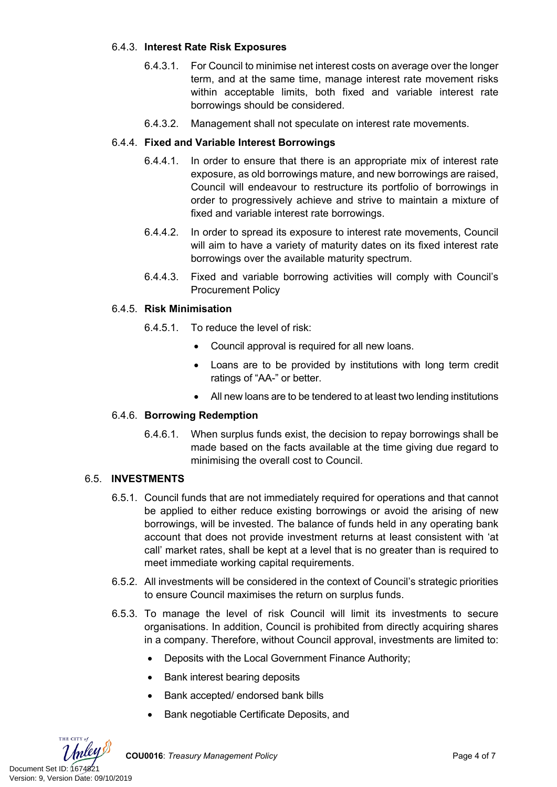# 6.4.3. **Interest Rate Risk Exposures**

- 6.4.3.1. For Council to minimise net interest costs on average over the longer term, and at the same time, manage interest rate movement risks within acceptable limits, both fixed and variable interest rate borrowings should be considered.
- 6.4.3.2. Management shall not speculate on interest rate movements.

# 6.4.4. **Fixed and Variable Interest Borrowings**

- 6.4.4.1. In order to ensure that there is an appropriate mix of interest rate exposure, as old borrowings mature, and new borrowings are raised, Council will endeavour to restructure its portfolio of borrowings in order to progressively achieve and strive to maintain a mixture of fixed and variable interest rate borrowings.
- 6.4.4.2. In order to spread its exposure to interest rate movements, Council will aim to have a variety of maturity dates on its fixed interest rate borrowings over the available maturity spectrum.
- 6.4.4.3. Fixed and variable borrowing activities will comply with Council's Procurement Policy

#### 6.4.5. **Risk Minimisation**

- 6.4.5.1. To reduce the level of risk:
	- Council approval is required for all new loans.
	- Loans are to be provided by institutions with long term credit ratings of "AA-" or better.
	- All new loans are to be tendered to at least two lending institutions

#### 6.4.6. **Borrowing Redemption**

6.4.6.1. When surplus funds exist, the decision to repay borrowings shall be made based on the facts available at the time giving due regard to minimising the overall cost to Council.

# 6.5. **INVESTMENTS**

- 6.5.1. Council funds that are not immediately required for operations and that cannot be applied to either reduce existing borrowings or avoid the arising of new borrowings, will be invested. The balance of funds held in any operating bank account that does not provide investment returns at least consistent with 'at call' market rates, shall be kept at a level that is no greater than is required to meet immediate working capital requirements.
- 6.5.2. All investments will be considered in the context of Council's strategic priorities to ensure Council maximises the return on surplus funds.
- 6.5.3. To manage the level of risk Council will limit its investments to secure organisations. In addition, Council is prohibited from directly acquiring shares in a company. Therefore, without Council approval, investments are limited to:
	- Deposits with the Local Government Finance Authority;
	- Bank interest bearing deposits
	- Bank accepted/ endorsed bank bills
	- Bank negotiable Certificate Deposits, and

THE CITY of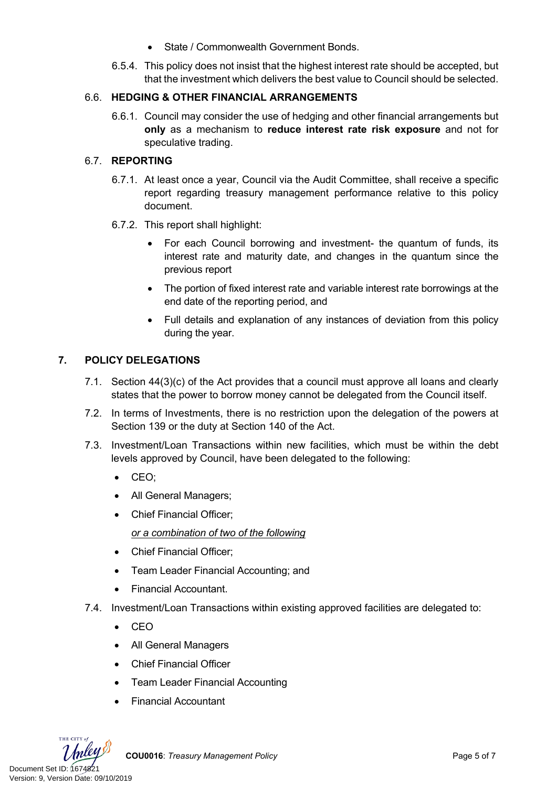- State / Commonwealth Government Bonds.
- 6.5.4. This policy does not insist that the highest interest rate should be accepted, but that the investment which delivers the best value to Council should be selected.

# 6.6. **HEDGING & OTHER FINANCIAL ARRANGEMENTS**

6.6.1. Council may consider the use of hedging and other financial arrangements but **only** as a mechanism to **reduce interest rate risk exposure** and not for speculative trading.

# 6.7. **REPORTING**

- 6.7.1. At least once a year, Council via the Audit Committee, shall receive a specific report regarding treasury management performance relative to this policy document.
- 6.7.2. This report shall highlight:
	- For each Council borrowing and investment- the quantum of funds, its interest rate and maturity date, and changes in the quantum since the previous report
	- The portion of fixed interest rate and variable interest rate borrowings at the end date of the reporting period, and
	- Full details and explanation of any instances of deviation from this policy during the year.

# **7. POLICY DELEGATIONS**

- 7.1. Section 44(3)(c) of the Act provides that a council must approve all loans and clearly states that the power to borrow money cannot be delegated from the Council itself.
- 7.2. In terms of Investments, there is no restriction upon the delegation of the powers at Section 139 or the duty at Section 140 of the Act.
- 7.3. Investment/Loan Transactions within new facilities, which must be within the debt levels approved by Council, have been delegated to the following:
	- CEO;
	- All General Managers;
	- Chief Financial Officer;

*or a combination of two of the following*

- Chief Financial Officer;
- Team Leader Financial Accounting; and
- Financial Accountant.
- 7.4. Investment/Loan Transactions within existing approved facilities are delegated to:
	- $\bullet$  CEO
	- All General Managers
	- Chief Financial Officer
	- Team Leader Financial Accounting
	- Financial Accountant



**COU0016**: *Treasury Management Policy* Page 5 of 7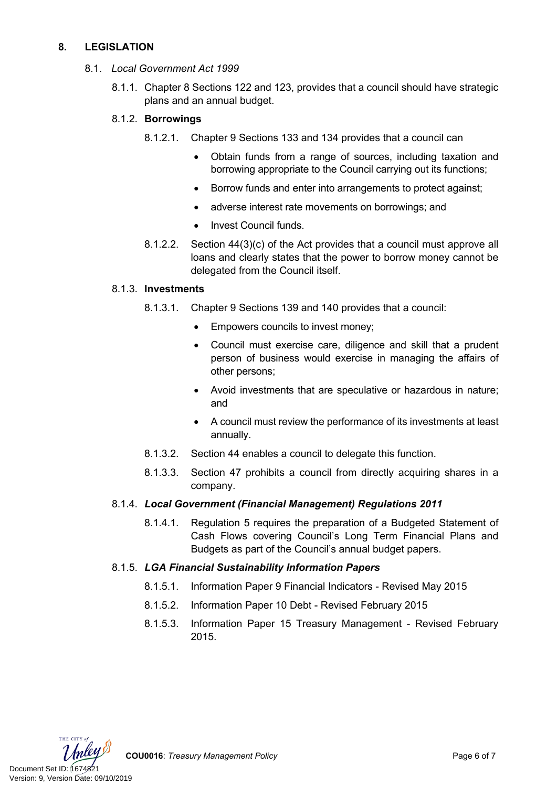# **8. LEGISLATION**

- 8.1. *Local Government Act 1999*
	- 8.1.1. Chapter 8 Sections 122 and 123, provides that a council should have strategic plans and an annual budget.

# 8.1.2. **Borrowings**

- 8.1.2.1. Chapter 9 Sections 133 and 134 provides that a council can
	- Obtain funds from a range of sources, including taxation and borrowing appropriate to the Council carrying out its functions;
	- Borrow funds and enter into arrangements to protect against;
	- adverse interest rate movements on borrowings; and
	- Invest Council funds.
- 8.1.2.2. Section 44(3)(c) of the Act provides that a council must approve all loans and clearly states that the power to borrow money cannot be delegated from the Council itself.

# 8.1.3. **Investments**

- 8.1.3.1. Chapter 9 Sections 139 and 140 provides that a council:
	- Empowers councils to invest money;
	- Council must exercise care, diligence and skill that a prudent person of business would exercise in managing the affairs of other persons;
	- Avoid investments that are speculative or hazardous in nature; and
	- A council must review the performance of its investments at least annually.
- 8.1.3.2. Section 44 enables a council to delegate this function.
- 8.1.3.3. Section 47 prohibits a council from directly acquiring shares in a company.

# 8.1.4. *Local Government (Financial Management) Regulations 2011*

8.1.4.1. Regulation 5 requires the preparation of a Budgeted Statement of Cash Flows covering Council's Long Term Financial Plans and Budgets as part of the Council's annual budget papers.

# 8.1.5. *LGA Financial Sustainability Information Papers*

- 8.1.5.1. Information Paper 9 Financial Indicators Revised May 2015
- 8.1.5.2. Information Paper 10 Debt Revised February 2015
- 8.1.5.3. Information Paper 15 Treasury Management Revised February 2015.